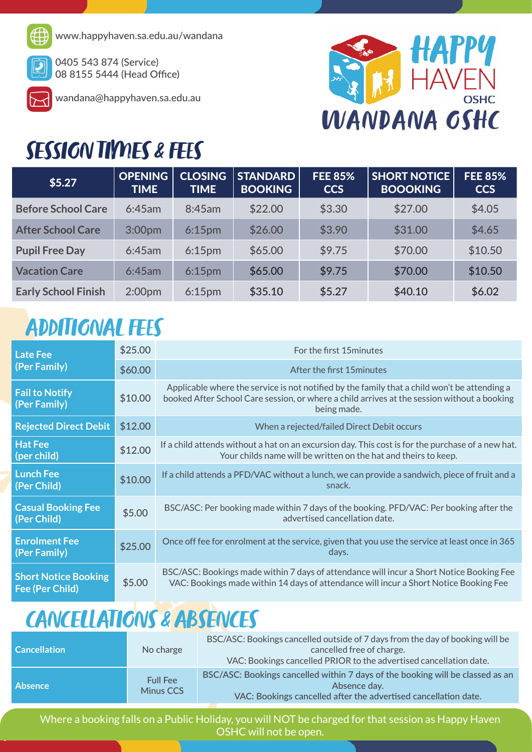

www.happyhaven.sa.edu.au/wandana

0405 543 874 (Service) 08 8155 5444 (Head Office)



wandana@happyhaven.sa.edu.au



## SESSION TIMES & FEES

| \$5.27                     | <b>OPENING</b><br><b>TIME</b> | <b>CLOSING</b><br><b>TIME</b> | <b>STANDARD</b><br><b>BOOKING</b> | <b>FEE 85%</b><br><b>CCS</b> | <b>SHORT NOTICE</b><br><b>BOOOKING</b> | <b>FEE 85%</b><br><b>CCS</b> |  |
|----------------------------|-------------------------------|-------------------------------|-----------------------------------|------------------------------|----------------------------------------|------------------------------|--|
| <b>Before School Care</b>  | 6:45am                        | 8:45am                        | \$22.00                           | \$3.30                       | \$27.00                                | \$4.05                       |  |
| <b>After School Care</b>   | 3:00pm                        | 6:15 <sub>pm</sub>            | \$26.00                           | \$3.90                       | \$31.00                                | \$4.65                       |  |
| <b>Pupil Free Day</b>      | 6:45am                        | 6:15 <sub>pm</sub>            | \$65.00                           | \$9.75                       | \$70.00                                | \$10.50                      |  |
| <b>Vacation Care</b>       | 6:45am                        | 6:15 <sub>pm</sub>            | \$65.00                           | \$9.75                       | \$70.00                                | \$10.50                      |  |
| <b>Early School Finish</b> | 2:00 <sub>pm</sub>            | 6:15 <sub>pm</sub>            | \$35.10                           | \$5.27                       | \$40.10                                | \$6.02                       |  |

## ADDITIONAL FEES

| <b>Late Fee</b><br>(Per Family)                | \$25.00 | For the first 15 minutes                                                                                                                                                                                   |  |
|------------------------------------------------|---------|------------------------------------------------------------------------------------------------------------------------------------------------------------------------------------------------------------|--|
|                                                | \$60.00 | After the first 15 minutes                                                                                                                                                                                 |  |
| <b>Fail to Notify</b><br>(Per Family)          | \$10.00 | Applicable where the service is not notified by the family that a child won't be attending a<br>booked After School Care session, or where a child arrives at the session without a booking<br>being made. |  |
| <b>Rejected Direct Debit</b>                   | \$12.00 | When a rejected/failed Direct Debit occurs                                                                                                                                                                 |  |
| <b>Hat Fee</b><br>(per child)                  | \$12.00 | If a child attends without a hat on an excursion day. This cost is for the purchase of a new hat.<br>Your childs name will be written on the hat and theirs to keep.                                       |  |
| <b>Lunch Fee</b><br>(Per Child)                | \$10.00 | If a child attends a PFD/VAC without a lunch, we can provide a sandwich, piece of fruit and a<br>snack.                                                                                                    |  |
| <b>Casual Booking Fee</b><br>(Per Child)       | \$5.00  | BSC/ASC: Per booking made within 7 days of the booking. PFD/VAC: Per booking after the<br>advertised cancellation date.                                                                                    |  |
| <b>Enrolment Fee</b><br>(Per Family)           | \$25.00 | Once off fee for enrolment at the service, given that you use the service at least once in 365<br>days.                                                                                                    |  |
| <b>Short Notice Booking</b><br>Fee (Per Child) | \$5.00  | BSC/ASC: Bookings made within 7 days of attendance will incur a Short Notice Booking Fee<br>VAC: Bookings made within 14 days of attendance will incur a Short Notice Booking Fee                          |  |

## CANCELLATIONS & ABSENCES

| <b>Cancellation</b> | No charge                    | BSC/ASC: Bookings cancelled outside of 7 days from the day of booking will be<br>cancelled free of charge.<br>VAC: Bookings cancelled PRIOR to the advertised cancellation date. |
|---------------------|------------------------------|----------------------------------------------------------------------------------------------------------------------------------------------------------------------------------|
| <b>Absence</b>      | <b>Full Fee</b><br>Minus CCS | BSC/ASC: Bookings cancelled within 7 days of the booking will be classed as an<br>Absence day.<br>VAC: Bookings cancelled after the advertised cancellation date.                |

Where a booking falls on a Public Holiday, you will NOT be charged for that session as Happy Haven OSHC will not be open.